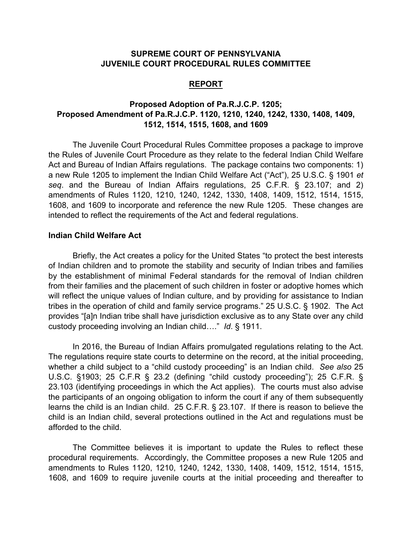## **SUPREME COURT OF PENNSYLVANIA JUVENILE COURT PROCEDURAL RULES COMMITTEE**

## **REPORT**

## **Proposed Adoption of Pa.R.J.C.P. 1205; Proposed Amendment of Pa.R.J.C.P. 1120, 1210, 1240, 1242, 1330, 1408, 1409, 1512, 1514, 1515, 1608, and 1609**

The Juvenile Court Procedural Rules Committee proposes a package to improve the Rules of Juvenile Court Procedure as they relate to the federal Indian Child Welfare Act and Bureau of Indian Affairs regulations. The package contains two components: 1) a new Rule 1205 to implement the Indian Child Welfare Act ("Act"), 25 U.S.C. § 1901 *et seq*. and the Bureau of Indian Affairs regulations, 25 C.F.R. § 23.107; and 2) amendments of Rules 1120, 1210, 1240, 1242, 1330, 1408, 1409, 1512, 1514, 1515, 1608, and 1609 to incorporate and reference the new Rule 1205. These changes are intended to reflect the requirements of the Act and federal regulations.

## **Indian Child Welfare Act**

Briefly, the Act creates a policy for the United States "to protect the best interests of Indian children and to promote the stability and security of Indian tribes and families by the establishment of minimal Federal standards for the removal of Indian children from their families and the placement of such children in foster or adoptive homes which will reflect the unique values of Indian culture, and by providing for assistance to Indian tribes in the operation of child and family service programs." 25 U.S.C. § 1902. The Act provides "[a]n Indian tribe shall have jurisdiction exclusive as to any State over any child custody proceeding involving an Indian child…." *Id*. § 1911.

In 2016, the Bureau of Indian Affairs promulgated regulations relating to the Act. The regulations require state courts to determine on the record, at the initial proceeding, whether a child subject to a "child custody proceeding" is an Indian child. *See also* 25 U.S.C. §1903; 25 C.F.R § 23.2 (defining "child custody proceeding"); 25 C.F.R. § 23.103 (identifying proceedings in which the Act applies). The courts must also advise the participants of an ongoing obligation to inform the court if any of them subsequently learns the child is an Indian child. 25 C.F.R. § 23.107. If there is reason to believe the child is an Indian child, several protections outlined in the Act and regulations must be afforded to the child.

The Committee believes it is important to update the Rules to reflect these procedural requirements. Accordingly, the Committee proposes a new Rule 1205 and amendments to Rules 1120, 1210, 1240, 1242, 1330, 1408, 1409, 1512, 1514, 1515, 1608, and 1609 to require juvenile courts at the initial proceeding and thereafter to